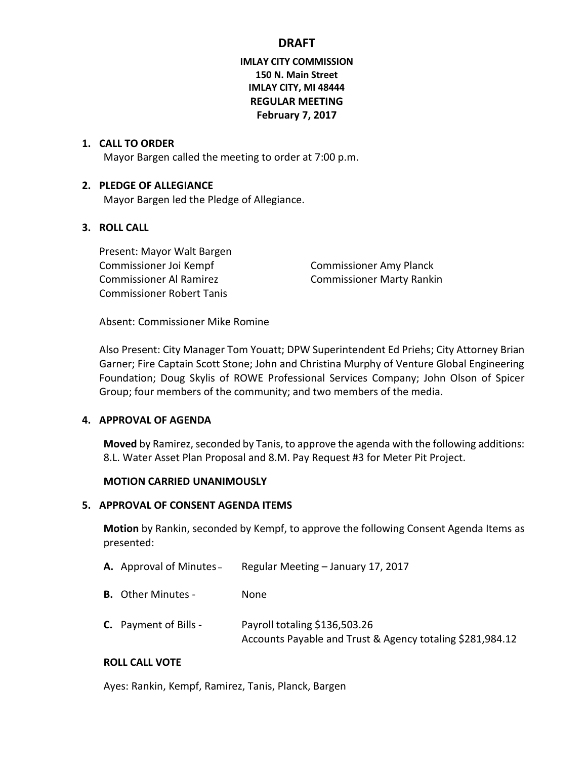# **IMLAY CITY COMMISSION 150 N. Main Street IMLAY CITY, MI 48444 REGULAR MEETING February 7, 2017**

### **1. CALL TO ORDER**

Mayor Bargen called the meeting to order at 7:00 p.m.

### **2. PLEDGE OF ALLEGIANCE**

Mayor Bargen led the Pledge of Allegiance.

## **3. ROLL CALL**

Present: Mayor Walt Bargen Commissioner Joi Kempf Commissioner Amy Planck Commissioner Al Ramirez **Commissioner Marty Rankin** Commissioner Robert Tanis

Absent: Commissioner Mike Romine

Also Present: City Manager Tom Youatt; DPW Superintendent Ed Priehs; City Attorney Brian Garner; Fire Captain Scott Stone; John and Christina Murphy of Venture Global Engineering Foundation; Doug Skylis of ROWE Professional Services Company; John Olson of Spicer Group; four members of the community; and two members of the media.

### **4. APPROVAL OF AGENDA**

**Moved** by Ramirez, seconded by Tanis, to approve the agenda with the following additions: 8.L. Water Asset Plan Proposal and 8.M. Pay Request #3 for Meter Pit Project.

### **MOTION CARRIED UNANIMOUSLY**

### **5. APPROVAL OF CONSENT AGENDA ITEMS**

**Motion** by Rankin, seconded by Kempf, to approve the following Consent Agenda Items as presented:

- **A.** Approval of Minutes Regular Meeting January 17, 2017
- **B.** Other Minutes None
- **C.** Payment of Bills Payroll totaling \$136,503.26 Accounts Payable and Trust & Agency totaling \$281,984.12

### **ROLL CALL VOTE**

Ayes: Rankin, Kempf, Ramirez, Tanis, Planck, Bargen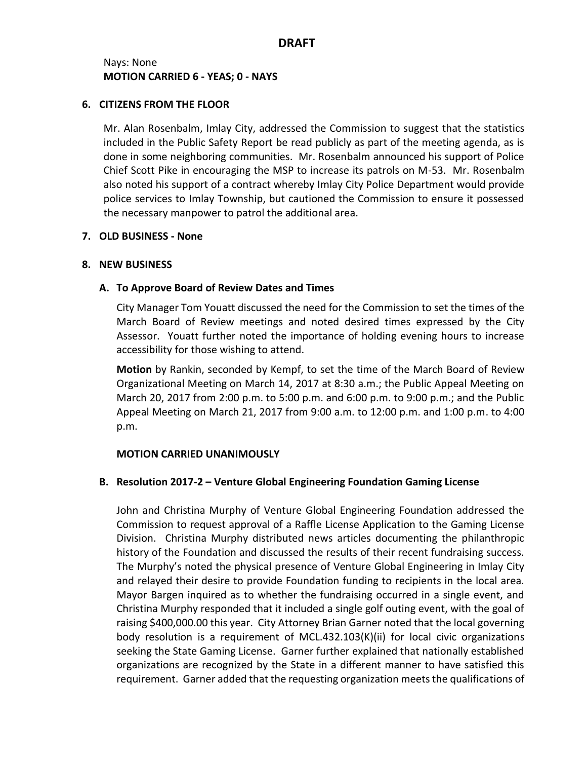## Nays: None **MOTION CARRIED 6 - YEAS; 0 - NAYS**

### **6. CITIZENS FROM THE FLOOR**

Mr. Alan Rosenbalm, Imlay City, addressed the Commission to suggest that the statistics included in the Public Safety Report be read publicly as part of the meeting agenda, as is done in some neighboring communities. Mr. Rosenbalm announced his support of Police Chief Scott Pike in encouraging the MSP to increase its patrols on M-53. Mr. Rosenbalm also noted his support of a contract whereby Imlay City Police Department would provide police services to Imlay Township, but cautioned the Commission to ensure it possessed the necessary manpower to patrol the additional area.

### **7. OLD BUSINESS - None**

### **8. NEW BUSINESS**

## **A. To Approve Board of Review Dates and Times**

City Manager Tom Youatt discussed the need for the Commission to set the times of the March Board of Review meetings and noted desired times expressed by the City Assessor. Youatt further noted the importance of holding evening hours to increase accessibility for those wishing to attend.

**Motion** by Rankin, seconded by Kempf, to set the time of the March Board of Review Organizational Meeting on March 14, 2017 at 8:30 a.m.; the Public Appeal Meeting on March 20, 2017 from 2:00 p.m. to 5:00 p.m. and 6:00 p.m. to 9:00 p.m.; and the Public Appeal Meeting on March 21, 2017 from 9:00 a.m. to 12:00 p.m. and 1:00 p.m. to 4:00 p.m.

### **MOTION CARRIED UNANIMOUSLY**

## **B. Resolution 2017-2 – Venture Global Engineering Foundation Gaming License**

John and Christina Murphy of Venture Global Engineering Foundation addressed the Commission to request approval of a Raffle License Application to the Gaming License Division. Christina Murphy distributed news articles documenting the philanthropic history of the Foundation and discussed the results of their recent fundraising success. The Murphy's noted the physical presence of Venture Global Engineering in Imlay City and relayed their desire to provide Foundation funding to recipients in the local area. Mayor Bargen inquired as to whether the fundraising occurred in a single event, and Christina Murphy responded that it included a single golf outing event, with the goal of raising \$400,000.00 this year. City Attorney Brian Garner noted that the local governing body resolution is a requirement of MCL.432.103(K)(ii) for local civic organizations seeking the State Gaming License. Garner further explained that nationally established organizations are recognized by the State in a different manner to have satisfied this requirement. Garner added that the requesting organization meets the qualifications of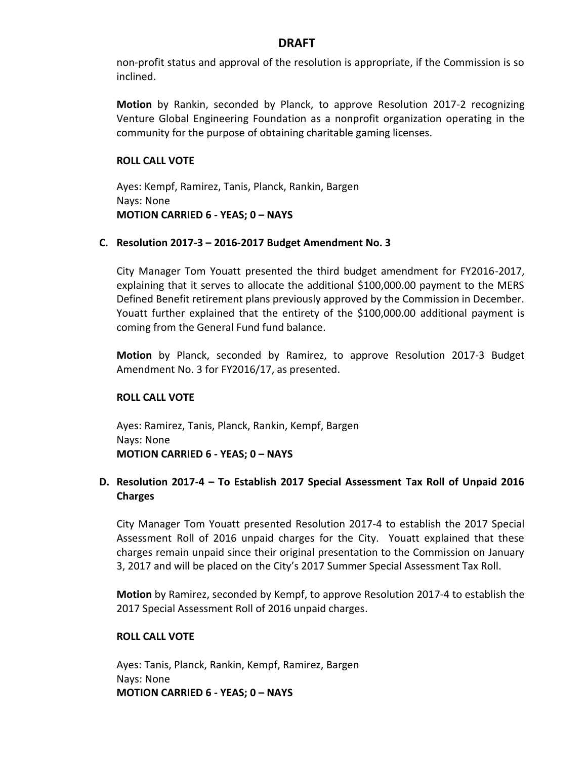non-profit status and approval of the resolution is appropriate, if the Commission is so inclined.

**Motion** by Rankin, seconded by Planck, to approve Resolution 2017-2 recognizing Venture Global Engineering Foundation as a nonprofit organization operating in the community for the purpose of obtaining charitable gaming licenses.

### **ROLL CALL VOTE**

Ayes: Kempf, Ramirez, Tanis, Planck, Rankin, Bargen Nays: None **MOTION CARRIED 6 - YEAS; 0 – NAYS**

### **C. Resolution 2017-3 – 2016-2017 Budget Amendment No. 3**

City Manager Tom Youatt presented the third budget amendment for FY2016-2017, explaining that it serves to allocate the additional \$100,000.00 payment to the MERS Defined Benefit retirement plans previously approved by the Commission in December. Youatt further explained that the entirety of the \$100,000.00 additional payment is coming from the General Fund fund balance.

**Motion** by Planck, seconded by Ramirez, to approve Resolution 2017-3 Budget Amendment No. 3 for FY2016/17, as presented.

## **ROLL CALL VOTE**

Ayes: Ramirez, Tanis, Planck, Rankin, Kempf, Bargen Nays: None **MOTION CARRIED 6 - YEAS; 0 – NAYS**

# **D. Resolution 2017-4 – To Establish 2017 Special Assessment Tax Roll of Unpaid 2016 Charges**

City Manager Tom Youatt presented Resolution 2017-4 to establish the 2017 Special Assessment Roll of 2016 unpaid charges for the City. Youatt explained that these charges remain unpaid since their original presentation to the Commission on January 3, 2017 and will be placed on the City's 2017 Summer Special Assessment Tax Roll.

**Motion** by Ramirez, seconded by Kempf, to approve Resolution 2017-4 to establish the 2017 Special Assessment Roll of 2016 unpaid charges.

### **ROLL CALL VOTE**

Ayes: Tanis, Planck, Rankin, Kempf, Ramirez, Bargen Nays: None **MOTION CARRIED 6 - YEAS; 0 – NAYS**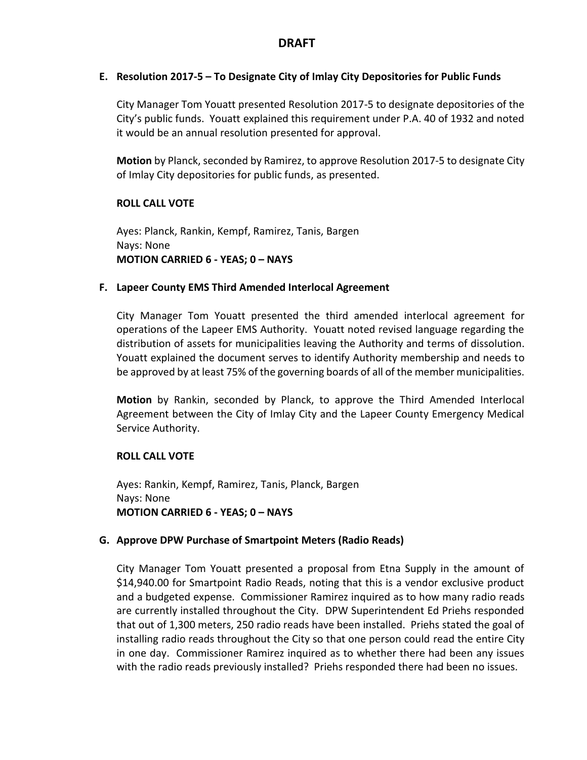## **E. Resolution 2017-5 – To Designate City of Imlay City Depositories for Public Funds**

City Manager Tom Youatt presented Resolution 2017-5 to designate depositories of the City's public funds. Youatt explained this requirement under P.A. 40 of 1932 and noted it would be an annual resolution presented for approval.

**Motion** by Planck, seconded by Ramirez, to approve Resolution 2017-5 to designate City of Imlay City depositories for public funds, as presented.

## **ROLL CALL VOTE**

Ayes: Planck, Rankin, Kempf, Ramirez, Tanis, Bargen Nays: None **MOTION CARRIED 6 - YEAS; 0 – NAYS**

### **F. Lapeer County EMS Third Amended Interlocal Agreement**

City Manager Tom Youatt presented the third amended interlocal agreement for operations of the Lapeer EMS Authority. Youatt noted revised language regarding the distribution of assets for municipalities leaving the Authority and terms of dissolution. Youatt explained the document serves to identify Authority membership and needs to be approved by at least 75% of the governing boards of all of the member municipalities.

**Motion** by Rankin, seconded by Planck, to approve the Third Amended Interlocal Agreement between the City of Imlay City and the Lapeer County Emergency Medical Service Authority.

## **ROLL CALL VOTE**

Ayes: Rankin, Kempf, Ramirez, Tanis, Planck, Bargen Nays: None **MOTION CARRIED 6 - YEAS; 0 – NAYS**

### **G. Approve DPW Purchase of Smartpoint Meters (Radio Reads)**

City Manager Tom Youatt presented a proposal from Etna Supply in the amount of \$14,940.00 for Smartpoint Radio Reads, noting that this is a vendor exclusive product and a budgeted expense. Commissioner Ramirez inquired as to how many radio reads are currently installed throughout the City. DPW Superintendent Ed Priehs responded that out of 1,300 meters, 250 radio reads have been installed. Priehs stated the goal of installing radio reads throughout the City so that one person could read the entire City in one day. Commissioner Ramirez inquired as to whether there had been any issues with the radio reads previously installed? Priehs responded there had been no issues.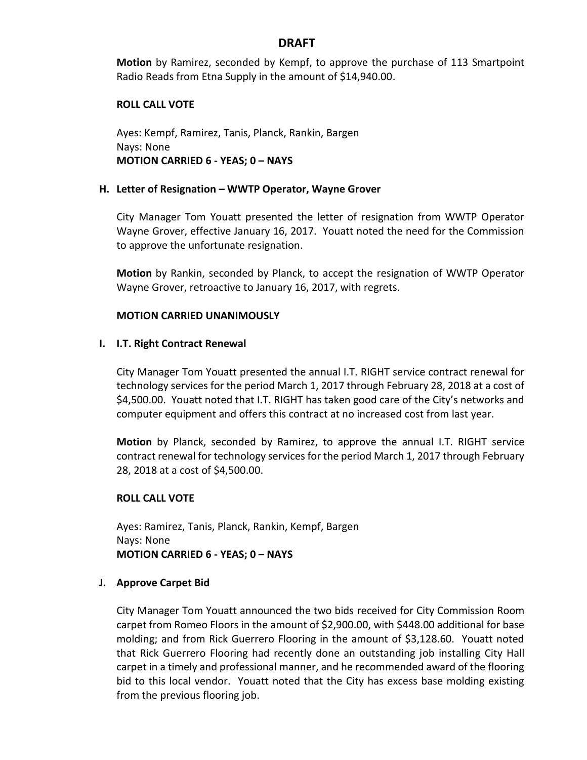**Motion** by Ramirez, seconded by Kempf, to approve the purchase of 113 Smartpoint Radio Reads from Etna Supply in the amount of \$14,940.00.

### **ROLL CALL VOTE**

Ayes: Kempf, Ramirez, Tanis, Planck, Rankin, Bargen Nays: None **MOTION CARRIED 6 - YEAS; 0 – NAYS**

#### **H. Letter of Resignation – WWTP Operator, Wayne Grover**

City Manager Tom Youatt presented the letter of resignation from WWTP Operator Wayne Grover, effective January 16, 2017. Youatt noted the need for the Commission to approve the unfortunate resignation.

**Motion** by Rankin, seconded by Planck, to accept the resignation of WWTP Operator Wayne Grover, retroactive to January 16, 2017, with regrets.

#### **MOTION CARRIED UNANIMOUSLY**

#### **I. I.T. Right Contract Renewal**

City Manager Tom Youatt presented the annual I.T. RIGHT service contract renewal for technology services for the period March 1, 2017 through February 28, 2018 at a cost of \$4,500.00. Youatt noted that I.T. RIGHT has taken good care of the City's networks and computer equipment and offers this contract at no increased cost from last year.

**Motion** by Planck, seconded by Ramirez, to approve the annual I.T. RIGHT service contract renewal for technology services for the period March 1, 2017 through February 28, 2018 at a cost of \$4,500.00.

### **ROLL CALL VOTE**

Ayes: Ramirez, Tanis, Planck, Rankin, Kempf, Bargen Nays: None **MOTION CARRIED 6 - YEAS; 0 – NAYS**

#### **J. Approve Carpet Bid**

City Manager Tom Youatt announced the two bids received for City Commission Room carpet from Romeo Floors in the amount of \$2,900.00, with \$448.00 additional for base molding; and from Rick Guerrero Flooring in the amount of \$3,128.60. Youatt noted that Rick Guerrero Flooring had recently done an outstanding job installing City Hall carpet in a timely and professional manner, and he recommended award of the flooring bid to this local vendor. Youatt noted that the City has excess base molding existing from the previous flooring job.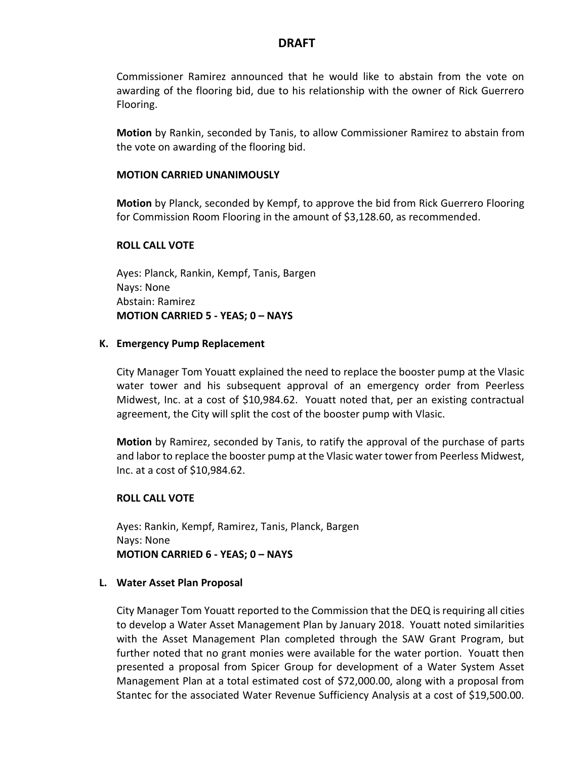Commissioner Ramirez announced that he would like to abstain from the vote on awarding of the flooring bid, due to his relationship with the owner of Rick Guerrero Flooring.

**Motion** by Rankin, seconded by Tanis, to allow Commissioner Ramirez to abstain from the vote on awarding of the flooring bid.

#### **MOTION CARRIED UNANIMOUSLY**

**Motion** by Planck, seconded by Kempf, to approve the bid from Rick Guerrero Flooring for Commission Room Flooring in the amount of \$3,128.60, as recommended.

#### **ROLL CALL VOTE**

Ayes: Planck, Rankin, Kempf, Tanis, Bargen Nays: None Abstain: Ramirez **MOTION CARRIED 5 - YEAS; 0 – NAYS**

#### **K. Emergency Pump Replacement**

City Manager Tom Youatt explained the need to replace the booster pump at the Vlasic water tower and his subsequent approval of an emergency order from Peerless Midwest, Inc. at a cost of \$10,984.62. Youatt noted that, per an existing contractual agreement, the City will split the cost of the booster pump with Vlasic.

**Motion** by Ramirez, seconded by Tanis, to ratify the approval of the purchase of parts and labor to replace the booster pump at the Vlasic water tower from Peerless Midwest, Inc. at a cost of \$10,984.62.

### **ROLL CALL VOTE**

Ayes: Rankin, Kempf, Ramirez, Tanis, Planck, Bargen Nays: None **MOTION CARRIED 6 - YEAS; 0 – NAYS**

#### **L. Water Asset Plan Proposal**

City Manager Tom Youatt reported to the Commission that the DEQ is requiring all cities to develop a Water Asset Management Plan by January 2018. Youatt noted similarities with the Asset Management Plan completed through the SAW Grant Program, but further noted that no grant monies were available for the water portion. Youatt then presented a proposal from Spicer Group for development of a Water System Asset Management Plan at a total estimated cost of \$72,000.00, along with a proposal from Stantec for the associated Water Revenue Sufficiency Analysis at a cost of \$19,500.00.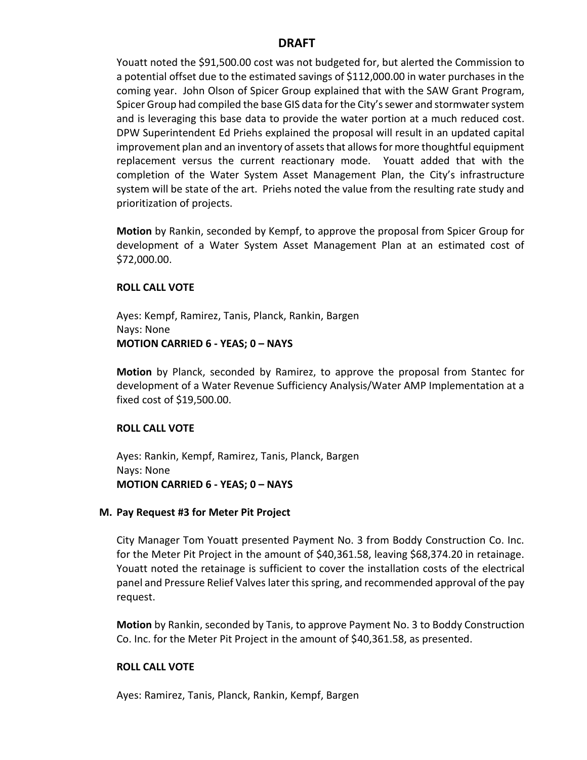Youatt noted the \$91,500.00 cost was not budgeted for, but alerted the Commission to a potential offset due to the estimated savings of \$112,000.00 in water purchases in the coming year. John Olson of Spicer Group explained that with the SAW Grant Program, Spicer Group had compiled the base GIS data for the City's sewer and stormwater system and is leveraging this base data to provide the water portion at a much reduced cost. DPW Superintendent Ed Priehs explained the proposal will result in an updated capital improvement plan and an inventory of assets that allows for more thoughtful equipment replacement versus the current reactionary mode. Youatt added that with the completion of the Water System Asset Management Plan, the City's infrastructure system will be state of the art. Priehs noted the value from the resulting rate study and prioritization of projects.

**Motion** by Rankin, seconded by Kempf, to approve the proposal from Spicer Group for development of a Water System Asset Management Plan at an estimated cost of \$72,000.00.

### **ROLL CALL VOTE**

Ayes: Kempf, Ramirez, Tanis, Planck, Rankin, Bargen Nays: None **MOTION CARRIED 6 - YEAS; 0 – NAYS**

**Motion** by Planck, seconded by Ramirez, to approve the proposal from Stantec for development of a Water Revenue Sufficiency Analysis/Water AMP Implementation at a fixed cost of \$19,500.00.

## **ROLL CALL VOTE**

Ayes: Rankin, Kempf, Ramirez, Tanis, Planck, Bargen Nays: None **MOTION CARRIED 6 - YEAS; 0 – NAYS**

### **M. Pay Request #3 for Meter Pit Project**

City Manager Tom Youatt presented Payment No. 3 from Boddy Construction Co. Inc. for the Meter Pit Project in the amount of \$40,361.58, leaving \$68,374.20 in retainage. Youatt noted the retainage is sufficient to cover the installation costs of the electrical panel and Pressure Relief Valves later this spring, and recommended approval of the pay request.

**Motion** by Rankin, seconded by Tanis, to approve Payment No. 3 to Boddy Construction Co. Inc. for the Meter Pit Project in the amount of \$40,361.58, as presented.

### **ROLL CALL VOTE**

Ayes: Ramirez, Tanis, Planck, Rankin, Kempf, Bargen